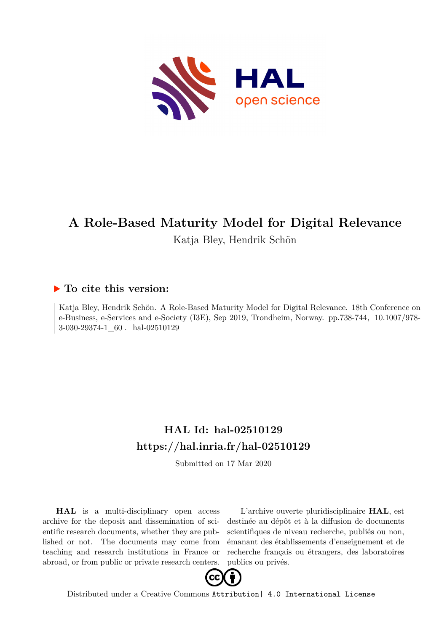

# **A Role-Based Maturity Model for Digital Relevance** Katja Bley, Hendrik Schön

# **To cite this version:**

Katja Bley, Hendrik Schön. A Role-Based Maturity Model for Digital Relevance. 18th Conference on e-Business, e-Services and e-Society (I3E), Sep 2019, Trondheim, Norway. pp.738-744, 10.1007/978-3-030-29374-1\_60. hal-02510129

# **HAL Id: hal-02510129 <https://hal.inria.fr/hal-02510129>**

Submitted on 17 Mar 2020

**HAL** is a multi-disciplinary open access archive for the deposit and dissemination of scientific research documents, whether they are published or not. The documents may come from teaching and research institutions in France or abroad, or from public or private research centers.

L'archive ouverte pluridisciplinaire **HAL**, est destinée au dépôt et à la diffusion de documents scientifiques de niveau recherche, publiés ou non, émanant des établissements d'enseignement et de recherche français ou étrangers, des laboratoires publics ou privés.



Distributed under a Creative Commons [Attribution| 4.0 International License](http://creativecommons.org/licenses/by/4.0/)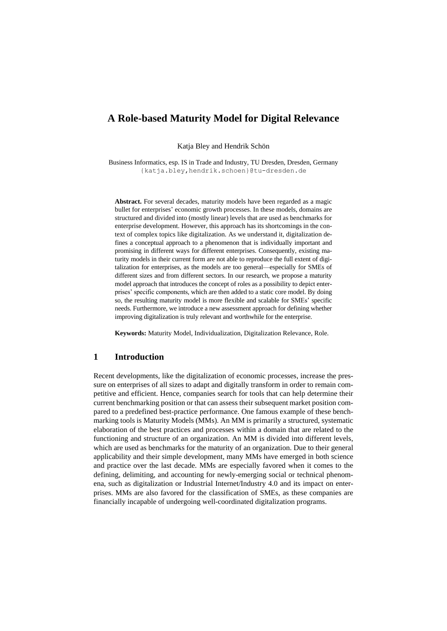# **A Role-based Maturity Model for Digital Relevance**

Katja Bley and Hendrik Schön

Business Informatics, esp. IS in Trade and Industry, TU Dresden, Dresden, Germany [{katja.bley,hendrik.schoen}@tu-dresden.de](mailto:akatja.bley@tu-dresden.de)

**Abstract.** For several decades, maturity models have been regarded as a magic bullet for enterprises' economic growth processes. In these models, domains are structured and divided into (mostly linear) levels that are used as benchmarks for enterprise development. However, this approach has its shortcomings in the context of complex topics like digitalization. As we understand it, digitalization defines a conceptual approach to a phenomenon that is individually important and promising in different ways for different enterprises. Consequently, existing maturity models in their current form are not able to reproduce the full extent of digitalization for enterprises, as the models are too general—especially for SMEs of different sizes and from different sectors. In our research, we propose a maturity model approach that introduces the concept of roles as a possibility to depict enterprises' specific components, which are then added to a static core model. By doing so, the resulting maturity model is more flexible and scalable for SMEs' specific needs. Furthermore, we introduce a new assessment approach for defining whether improving digitalization is truly relevant and worthwhile for the enterprise.

**Keywords:** Maturity Model, Individualization, Digitalization Relevance, Role.

### **1 Introduction**

Recent developments, like the digitalization of economic processes, increase the pressure on enterprises of all sizes to adapt and digitally transform in order to remain competitive and efficient. Hence, companies search for tools that can help determine their current benchmarking position or that can assess their subsequent market position compared to a predefined best-practice performance. One famous example of these benchmarking tools is Maturity Models (MMs). An MM is primarily a structured, systematic elaboration of the best practices and processes within a domain that are related to the functioning and structure of an organization. An MM is divided into different levels, which are used as benchmarks for the maturity of an organization. Due to their general applicability and their simple development, many MMs have emerged in both science and practice over the last decade. MMs are especially favored when it comes to the defining, delimiting, and accounting for newly-emerging social or technical phenomena, such as digitalization or Industrial Internet/Industry 4.0 and its impact on enterprises. MMs are also favored for the classification of SMEs, as these companies are financially incapable of undergoing well-coordinated digitalization programs.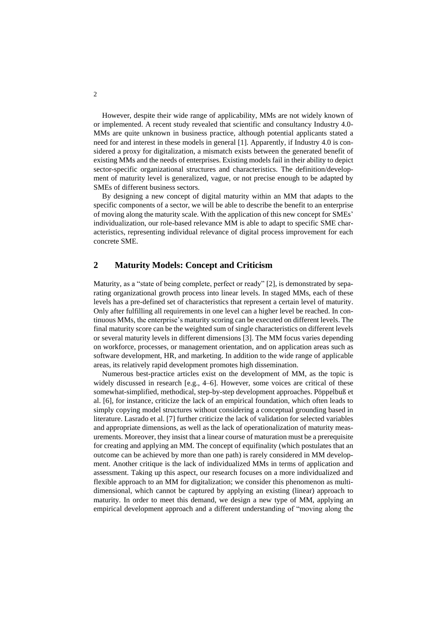However, despite their wide range of applicability, MMs are not widely known of or implemented. A recent study revealed that scientific and consultancy Industry 4.0- MMs are quite unknown in business practice, although potential applicants stated a need for and interest in these models in general [1]. Apparently, if Industry 4.0 is considered a proxy for digitalization, a mismatch exists between the generated benefit of existing MMs and the needs of enterprises. Existing models fail in their ability to depict sector-specific organizational structures and characteristics. The definition/development of maturity level is generalized, vague, or not precise enough to be adapted by SMEs of different business sectors.

By designing a new concept of digital maturity within an MM that adapts to the specific components of a sector, we will be able to describe the benefit to an enterprise of moving along the maturity scale. With the application of this new concept for SMEs' individualization, our role-based relevance MM is able to adapt to specific SME characteristics, representing individual relevance of digital process improvement for each concrete SME.

## **2 Maturity Models: Concept and Criticism**

Maturity, as a "state of being complete, perfect or ready" [2], is demonstrated by separating organizational growth process into linear levels. In staged MMs, each of these levels has a pre-defined set of characteristics that represent a certain level of maturity. Only after fulfilling all requirements in one level can a higher level be reached. In continuous MMs, the enterprise's maturity scoring can be executed on different levels. The final maturity score can be the weighted sum of single characteristics on different levels or several maturity levels in different dimensions [3]. The MM focus varies depending on workforce, processes, or management orientation, and on application areas such as software development, HR, and marketing. In addition to the wide range of applicable areas, its relatively rapid development promotes high dissemination.

Numerous best-practice articles exist on the development of MM, as the topic is widely discussed in research [e.g., 4–6]. However, some voices are critical of these somewhat-simplified, methodical, step-by-step development approaches. Pöppelbuß et al. [6], for instance, criticize the lack of an empirical foundation, which often leads to simply copying model structures without considering a conceptual grounding based in literature. Lasrado et al. [7] further criticize the lack of validation for selected variables and appropriate dimensions, as well as the lack of operationalization of maturity measurements. Moreover, they insist that a linear course of maturation must be a prerequisite for creating and applying an MM. The concept of equifinality (which postulates that an outcome can be achieved by more than one path) is rarely considered in MM development. Another critique is the lack of individualized MMs in terms of application and assessment. Taking up this aspect, our research focuses on a more individualized and flexible approach to an MM for digitalization; we consider this phenomenon as multidimensional, which cannot be captured by applying an existing (linear) approach to maturity. In order to meet this demand, we design a new type of MM, applying an empirical development approach and a different understanding of "moving along the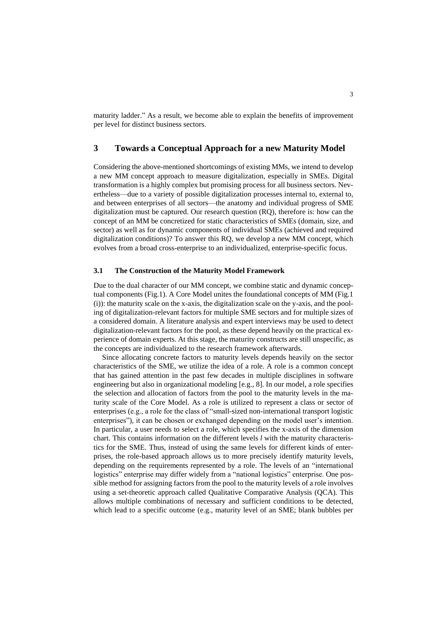maturity ladder." As a result, we become able to explain the benefits of improvement per level for distinct business sectors.

# **3 Towards a Conceptual Approach for a new Maturity Model**

Considering the above-mentioned shortcomings of existing MMs, we intend to develop a new MM concept approach to measure digitalization, especially in SMEs. Digital transformation is a highly complex but promising process for all business sectors. Nevertheless—due to a variety of possible digitalization processes internal to, external to, and between enterprises of all sectors—the anatomy and individual progress of SME digitalization must be captured. Our research question (RQ), therefore is: how can the concept of an MM be concretized for static characteristics of SMEs (domain, size, and sector) as well as for dynamic components of individual SMEs (achieved and required digitalization conditions)? To answer this RQ, we develop a new MM concept, which evolves from a broad cross-enterprise to an individualized, enterprise-specific focus.

#### **3.1 The Construction of the Maturity Model Framework**

Due to the dual character of our MM concept, we combine static and dynamic conceptual components (Fig.1). A Core Model unites the foundational concepts of MM (Fig.1 (i)): the maturity scale on the x-axis, the digitalization scale on the y-axis, and the pooling of digitalization-relevant factors for multiple SME sectors and for multiple sizes of a considered domain. A literature analysis and expert interviews may be used to detect digitalization-relevant factors for the pool, as these depend heavily on the practical experience of domain experts. At this stage, the maturity constructs are still unspecific, as the concepts are individualized to the research framework afterwards.

Since allocating concrete factors to maturity levels depends heavily on the sector characteristics of the SME, we utilize the idea of a role. A role is a common concept that has gained attention in the past few decades in multiple disciplines in software engineering but also in organizational modeling [e.g., 8]. In our model, a role specifies the selection and allocation of factors from the pool to the maturity levels in the maturity scale of the Core Model. As a role is utilized to represent a class or sector of enterprises (e.g., a role for the class of "small-sized non-international transport logistic enterprises"), it can be chosen or exchanged depending on the model user's intention. In particular, a user needs to select a role, which specifies the x-axis of the dimension chart. This contains information on the different levels *l* with the maturity characteristics for the SME. Thus, instead of using the same levels for different kinds of enterprises, the role-based approach allows us to more precisely identify maturity levels, depending on the requirements represented by a role. The levels of an "international logistics" enterprise may differ widely from a "national logistics" enterprise. One possible method for assigning factors from the pool to the maturity levels of a role involves using a set-theoretic approach called Qualitative Comparative Analysis (QCA). This allows multiple combinations of necessary and sufficient conditions to be detected, which lead to a specific outcome (e.g., maturity level of an SME; blank bubbles per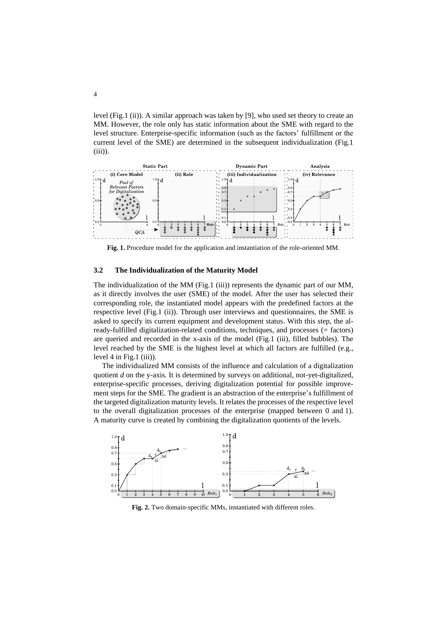level (Fig.1 (ii)). A similar approach was taken by [9], who used set theory to create an MM. However, the role only has static information about the SME with regard to the level structure. Enterprise-specific information (such as the factors' fulfillment or the current level of the SME) are determined in the subsequent individualization (Fig.1 (iii)).



**Fig. 1.** Procedure model for the application and instantiation of the role-oriented MM.

### **3.2 The Individualization of the Maturity Model**

The individualization of the MM (Fig.1 (iii)) represents the dynamic part of our MM, as it directly involves the user (SME) of the model. After the user has selected their corresponding role, the instantiated model appears with the predefined factors at the respective level (Fig.1 (ii)). Through user interviews and questionnaires, the SME is asked to specify its current equipment and development status. With this step, the already-fulfilled digitalization-related conditions, techniques, and processes (= factors) are queried and recorded in the x-axis of the model (Fig.1 (iii), filled bubbles). The level reached by the SME is the highest level at which all factors are fulfilled (e.g., level 4 in Fig.  $1$  (iii)).

The individualized MM consists of the influence and calculation of a digitalization quotient *d* on the y-axis. It is determined by surveys on additional, not-yet-digitalized, enterprise-specific processes, deriving digitalization potential for possible improvement steps for the SME. The gradient is an abstraction of the enterprise's fulfillment of the targeted digitalization maturity levels. It relates the processes of the respective level to the overall digitalization processes of the enterprise (mapped between 0 and 1). A maturity curve is created by combining the digitalization quotients of the levels.



**Fig. 2.** Two domain-specific MMs, instantiated with different roles.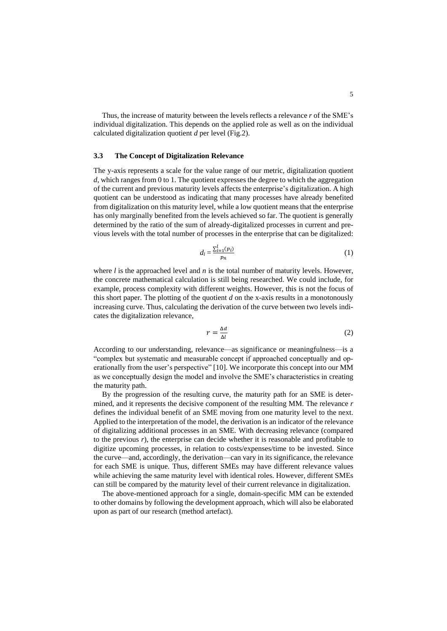Thus, the increase of maturity between the levels reflects a relevance *r* of the SME's individual digitalization. This depends on the applied role as well as on the individual calculated digitalization quotient *d* per level (Fig.2).

#### **3.3 The Concept of Digitalization Relevance**

The y-axis represents a scale for the value range of our metric, digitalization quotient *d*, which ranges from 0 to 1. The quotient expresses the degree to which the aggregation of the current and previous maturity levels affects the enterprise's digitalization. A high quotient can be understood as indicating that many processes have already benefited from digitalization on this maturity level, while a low quotient means that the enterprise has only marginally benefited from the levels achieved so far. The quotient is generally determined by the ratio of the sum of already-digitalized processes in current and previous levels with the total number of processes in the enterprise that can be digitalized:

$$
d_l = \frac{\sum_{i=1}^l (p_i)}{p_n} \tag{1}
$$

where  $l$  is the approached level and  $n$  is the total number of maturity levels. However, the concrete mathematical calculation is still being researched. We could include, for example, process complexity with different weights. However, this is not the focus of this short paper. The plotting of the quotient *d* on the x-axis results in a monotonously increasing curve. Thus, calculating the derivation of the curve between two levels indicates the digitalization relevance,

$$
r = \frac{\Delta d}{\Delta l} \tag{2}
$$

According to our understanding, relevance—as significance or meaningfulness—is a "complex but systematic and measurable concept if approached conceptually and operationally from the user's perspective" [10]. We incorporate this concept into our MM as we conceptually design the model and involve the SME's characteristics in creating the maturity path.

By the progression of the resulting curve, the maturity path for an SME is determined, and it represents the decisive component of the resulting MM. The relevance *r* defines the individual benefit of an SME moving from one maturity level to the next. Applied to the interpretation of the model, the derivation is an indicator of the relevance of digitalizing additional processes in an SME. With decreasing relevance (compared to the previous *r*), the enterprise can decide whether it is reasonable and profitable to digitize upcoming processes, in relation to costs/expenses/time to be invested. Since the curve—and, accordingly, the derivation—can vary in its significance, the relevance for each SME is unique. Thus, different SMEs may have different relevance values while achieving the same maturity level with identical roles. However, different SMEs can still be compared by the maturity level of their current relevance in digitalization.

The above-mentioned approach for a single, domain-specific MM can be extended to other domains by following the development approach, which will also be elaborated upon as part of our research (method artefact).